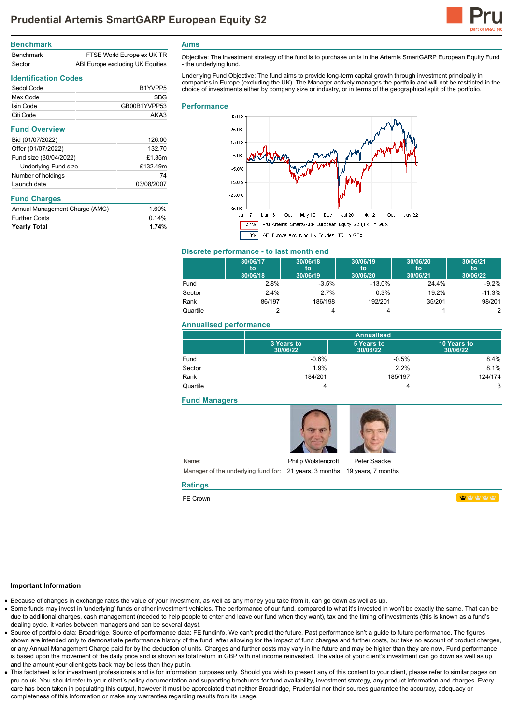

| <b>Benchmark</b> |                                  |
|------------------|----------------------------------|
| <b>Benchmark</b> | FTSE World Europe ex UK TR       |
| Sector           | ABI Europe excluding UK Equities |

## **Identification Codes**

| Sedol Code | B <sub>1</sub> YVPP <sub>5</sub> |
|------------|----------------------------------|
| Mex Code   | <b>SBG</b>                       |
| Isin Code  | GB00B1YVPP53                     |
| Citi Code  | AKA3                             |

| <b>Fund Overview</b>   |            |
|------------------------|------------|
| Bid (01/07/2022)       | 126.00     |
| Offer (01/07/2022)     | 132.70     |
| Fund size (30/04/2022) | £1.35m     |
| Underlying Fund size   | £132.49m   |
| Number of holdings     | 74         |
| Launch date            | 03/08/2007 |
|                        |            |

## **Fund Charges**

| Annual Management Charge (AMC) | 1.60% |
|--------------------------------|-------|
| <b>Further Costs</b>           | 0.14% |
| <b>Yearly Total</b>            | 1.74% |

**Aims**

Objective: The investment strategy of the fund is to purchase units in the Artemis SmartGARP European Equity Fund - the underlying fund.

Underlying Fund Objective: The fund aims to provide long-term capital growth through investment principally in<br>companies in Europe (excluding the UK). The Manager actively manages the portfolio and will not be restricted i choice of investments either by company size or industry, or in terms of the geographical split of the portfolio.

#### **Performance**



## **Discrete performance - to last month end**

|          | 30/06/17<br>to<br>30/06/18 | 30/06/18<br>to<br>30/06/19 | 30/06/19<br>to<br>30/06/20 | 30/06/20<br>'tō<br>30/06/21 | 30/06/21<br>to<br>30/06/22 |
|----------|----------------------------|----------------------------|----------------------------|-----------------------------|----------------------------|
| Fund     | 2.8%                       | $-3.5%$                    | $-13.0%$                   | 24.4%                       | $-9.2%$                    |
| Sector   | $2.4\%$                    | 2.7%                       | 0.3%                       | 19.2%                       | $-11.3%$                   |
| Rank     | 86/197                     | 186/198                    | 192/201                    | 35/201                      | 98/201                     |
| Quartile |                            |                            |                            |                             |                            |

## **Annualised performance**

|          |                        | <b>Annualised</b>      |                         |  |
|----------|------------------------|------------------------|-------------------------|--|
|          | 3 Years to<br>30/06/22 | 5 Years to<br>30/06/22 | 10 Years to<br>30/06/22 |  |
| Fund     | $-0.6%$                | $-0.5%$                | 8.4%                    |  |
| Sector   | 1.9%                   | 2.2%                   | 8.1%                    |  |
| Rank     | 184/201                | 185/197                | 124/174                 |  |
| Quartile |                        |                        | 3                       |  |

## **Fund Managers**



Name: Manager of the underlying fund for: 21 years, 3 months 19 years, 7 months Philip Wolstencroft

Peter Saacke

**WWWW** 

#### **Important Information**

Because of changes in exchange rates the value of your investment, as well as any money you take from it, can go down as well as up.

**Ratings** FE Crown

- Some funds may invest in 'underlying' funds or other investment vehicles. The performance of our fund, compared to what it's invested in won't be exactly the same. That can be due to additional charges, cash management (needed to help people to enter and leave our fund when they want), tax and the timing of investments (this is known as a fund's dealing cycle, it varies between managers and can be several days).
- Source of portfolio data: Broadridge. Source of performance data: FE fundinfo. We can't predict the future. Past performance isn't a guide to future performance. The figures shown are intended only to demonstrate performance history of the fund, after allowing for the impact of fund charges and further costs, but take no account of product charges, or any Annual Management Charge paid for by the deduction of units. Charges and further costs may vary in the future and may be higher than they are now. Fund performance is based upon the movement of the daily price and is shown as total return in GBP with net income reinvested. The value of your client's investment can go down as well as up and the amount your client gets back may be less than they put in.
- This factsheet is for investment professionals and is for information purposes only. Should you wish to present any of this content to your client, please refer to similar pages on pru.co.uk. You should refer to your client's policy documentation and supporting brochures for fund availability, investment strategy, any product information and charges. Every care has been taken in populating this output, however it must be appreciated that neither Broadridge. Prudential nor their sources guarantee the accuracy, adequacy or completeness of this information or make any warranties regarding results from its usage.